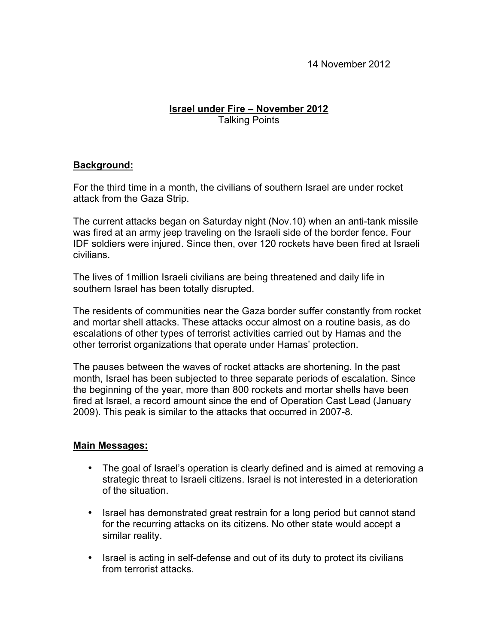14 November 2012

## **Israel under Fire – November 2012** Talking Points

## **Background:**

For the third time in a month, the civilians of southern Israel are under rocket attack from the Gaza Strip.

The current attacks began on Saturday night (Nov.10) when an anti-tank missile was fired at an army jeep traveling on the Israeli side of the border fence. Four IDF soldiers were injured. Since then, over 120 rockets have been fired at Israeli civilians.

The lives of 1million Israeli civilians are being threatened and daily life in southern Israel has been totally disrupted.

The residents of communities near the Gaza border suffer constantly from rocket and mortar shell attacks. These attacks occur almost on a routine basis, as do escalations of other types of terrorist activities carried out by Hamas and the other terrorist organizations that operate under Hamas' protection.

The pauses between the waves of rocket attacks are shortening. In the past month, Israel has been subjected to three separate periods of escalation. Since the beginning of the year, more than 800 rockets and mortar shells have been fired at Israel, a record amount since the end of Operation Cast Lead (January 2009). This peak is similar to the attacks that occurred in 2007-8.

## **Main Messages:**

- The goal of Israel's operation is clearly defined and is aimed at removing a strategic threat to Israeli citizens. Israel is not interested in a deterioration of the situation.
- Israel has demonstrated great restrain for a long period but cannot stand for the recurring attacks on its citizens. No other state would accept a similar reality.
- Israel is acting in self-defense and out of its duty to protect its civilians from terrorist attacks.